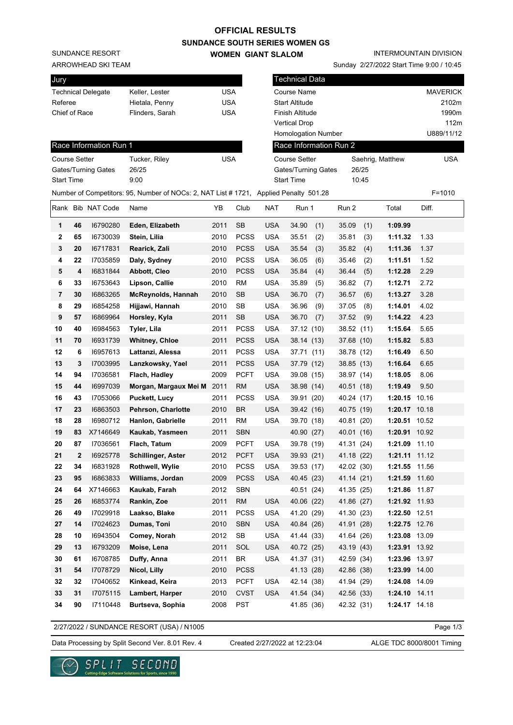# **OFFICIAL RESULTS**

SUNDANCE RESORT

ARROWHEAD SKI TEAM

# **SUNDANCE SOUTH SERIES WOMEN GS**

**WOMEN GIANT SLALOM**

INTERMOUNTAIN DIVISION

Sunday 2/27/2022 Start Time 9:00 / 10:45

| Jury                    |                |                           |                                                                                       |            |             | <b>Technical Data</b>        |                        |            |                  |                 |  |
|-------------------------|----------------|---------------------------|---------------------------------------------------------------------------------------|------------|-------------|------------------------------|------------------------|------------|------------------|-----------------|--|
|                         |                | <b>Technical Delegate</b> | Keller, Lester                                                                        | <b>USA</b> |             |                              | Course Name            |            |                  | <b>MAVERICK</b> |  |
| Referee                 |                |                           | Hietala, Penny                                                                        | <b>USA</b> |             |                              | <b>Start Altitude</b>  |            |                  | 2102m           |  |
| Chief of Race           |                |                           | Flinders, Sarah                                                                       | <b>USA</b> |             |                              | Finish Altitude        |            |                  | 1990m           |  |
|                         |                |                           |                                                                                       |            |             |                              | <b>Vertical Drop</b>   |            |                  | 112m            |  |
|                         |                |                           |                                                                                       |            |             | <b>Homologation Number</b>   |                        |            |                  | U889/11/12      |  |
|                         |                | Race Information Run 1    |                                                                                       |            |             |                              | Race Information Run 2 |            |                  |                 |  |
| <b>Course Setter</b>    |                |                           | Tucker, Riley                                                                         | <b>USA</b> |             |                              | <b>Course Setter</b>   |            | Saehrig, Matthew | <b>USA</b>      |  |
| Gates/Turning Gates     |                |                           | 26/25                                                                                 |            |             | 26/25<br>Gates/Turning Gates |                        |            |                  |                 |  |
| Start Time              |                |                           | 9:00                                                                                  |            |             |                              | <b>Start Time</b>      | 10:45      |                  |                 |  |
|                         |                |                           | Number of Competitors: 95, Number of NOCs: 2, NAT List # 1721, Applied Penalty 501.28 |            |             |                              |                        |            |                  | $F = 1010$      |  |
|                         |                | Rank Bib NAT Code         | Name                                                                                  | YΒ         | Club        | <b>NAT</b>                   | Run 1                  | Run 2      | Total            | Diff.           |  |
| 1                       | 46             | 16790280                  | Eden, Elizabeth                                                                       | 2011       | <b>SB</b>   | <b>USA</b>                   | 34.90<br>(1)           | 35.09      | 1:09.99<br>(1)   |                 |  |
| $\overline{\mathbf{2}}$ | 65             | 16730039                  | Stein, Lilia                                                                          | 2010       | <b>PCSS</b> | <b>USA</b>                   | 35.51<br>(2)           | 35.81      | 1:11.32<br>(3)   | 1.33            |  |
| 3                       | 20             | 16717831                  | Rearick, Zali                                                                         | 2010       | <b>PCSS</b> | USA                          | 35.54<br>(3)           | 35.82      | (4)<br>1:11.36   | 1.37            |  |
| 4                       | 22             | 17035859                  | Daly, Sydney                                                                          | 2010       | <b>PCSS</b> | <b>USA</b>                   | 36.05<br>(6)           | 35.46      | (2)<br>1:11.51   | 1.52            |  |
| 5                       | 4              | 16831844                  | Abbott, Cleo                                                                          | 2010       | <b>PCSS</b> | <b>USA</b>                   | 35.84<br>(4)           | 36.44      | (5)<br>1:12.28   | 2.29            |  |
| 6                       | 33             | 16753643                  | Lipson, Callie                                                                        | 2010       | <b>RM</b>   | <b>USA</b>                   | 35.89<br>(5)           | 36.82      | 1:12.71<br>(7)   | 2.72            |  |
| 7                       | 30             | 16863265                  | <b>McReynolds, Hannah</b>                                                             | 2010       | <b>SB</b>   | <b>USA</b>                   | 36.70<br>(7)           | 36.57      | 1:13.27<br>(6)   | 3.28            |  |
| 8                       | 29             | 16854258                  | Hijjawi, Hannah                                                                       | 2010       | SB          | <b>USA</b>                   | 36.96<br>(9)           | 37.05      | 1:14.01<br>(8)   | 4.02            |  |
| 9                       | 57             | 16869964                  | Horsley, Kyla                                                                         | 2011       | <b>SB</b>   | <b>USA</b>                   | 36.70<br>(7)           | 37.52      | 1:14.22<br>(9)   | 4.23            |  |
| 10                      | 40             | 16984563                  | Tyler, Lila                                                                           | 2011       | <b>PCSS</b> | <b>USA</b>                   | 37.12 (10)             | 38.52 (11) | 1:15.64          | 5.65            |  |
| 11                      | 70             | 16931739                  | <b>Whitney, Chloe</b>                                                                 | 2011       | <b>PCSS</b> | <b>USA</b>                   | 38.14 (13)             | 37.68 (10) | 1:15.82          | 5.83            |  |
| 12                      | 6              | 16957613                  | Lattanzi, Alessa                                                                      | 2011       | <b>PCSS</b> | <b>USA</b>                   | 37.71 (11)             | 38.78 (12) | 1:16.49          | 6.50            |  |
| 13                      | 3              | 17003995                  | Lanzkowsky, Yael                                                                      | 2011       | <b>PCSS</b> | USA                          | 37.79 (12)             | 38.85 (13) | 1:16.64          | 6.65            |  |
| 14                      | 94             | 17036581                  | Flach, Hadley                                                                         | 2009       | <b>PCFT</b> | <b>USA</b>                   | 39.08 (15)             | 38.97 (14) | 1:18.05          | 8.06            |  |
| 15                      | 44             | 16997039                  | Morgan, Margaux Mei M                                                                 | 2011       | RM          | <b>USA</b>                   | 38.98 (14)             | 40.51 (18) | 1:19.49          | 9.50            |  |
| 16                      | 43             | 17053066                  | <b>Puckett, Lucy</b>                                                                  | 2011       | <b>PCSS</b> | <b>USA</b>                   | 39.91 (20)             | 40.24 (17) | 1:20.15 10.16    |                 |  |
| 17                      | 23             | 16863503                  | Pehrson, Charlotte                                                                    | 2010       | <b>BR</b>   | <b>USA</b>                   | 39.42 (16)             | 40.75 (19) | 1:20.17 10.18    |                 |  |
| 18                      | 28             | 16980712                  | Hanlon, Gabrielle                                                                     | 2011       | <b>RM</b>   | <b>USA</b>                   | 39.70 (18)             | 40.81 (20) | 1:20.51 10.52    |                 |  |
| 19                      | 83             | X7146649                  | Kaukab, Yasmeen                                                                       | 2011       | <b>SBN</b>  |                              | 40.90 (27)             | 40.01 (16) | 1:20.91 10.92    |                 |  |
| 20                      | 87             | 17036561                  | Flach, Tatum                                                                          | 2009       | <b>PCFT</b> | <b>USA</b>                   | 39.78 (19)             | 41.31 (24) | 1:21.09 11.10    |                 |  |
| 21                      | $\overline{2}$ | 16925778                  | Schillinger, Aster                                                                    | 2012       | PCFT        | USA                          | 39.93 (21)             | 41.18 (22) | 1:21.11 11.12    |                 |  |
| 22                      | 34             | 16831928                  | Rothwell, Wylie                                                                       | 2010       | <b>PCSS</b> | <b>USA</b>                   | 39.53 (17)             | 42.02 (30) | 1:21.55 11.56    |                 |  |
| 23                      | 95             | 16863833                  | Williams, Jordan                                                                      | 2009       | <b>PCSS</b> | <b>USA</b>                   | 40.45 (23)             | 41.14 (21) | 1:21.59 11.60    |                 |  |
| 24                      | 64             | X7146663                  | Kaukab, Farah                                                                         | 2012       | <b>SBN</b>  |                              | 40.51 (24)             | 41.35 (25) | 1:21.86 11.87    |                 |  |
| 25                      | 26             | 16853774                  | Rankin, Zoe                                                                           | 2011       | <b>RM</b>   | <b>USA</b>                   | 40.06 (22)             | 41.86 (27) | 1:21.92 11.93    |                 |  |
| 26                      | 49             | 17029918                  | Laakso, Blake                                                                         | 2011       | PCSS        | USA                          | 41.20 (29)             | 41.30 (23) | 1:22.50 12.51    |                 |  |
| 27                      | 14             | 17024623                  | Dumas, Toni                                                                           | 2010       | <b>SBN</b>  | <b>USA</b>                   | 40.84 (26)             | 41.91 (28) | 1:22.75 12.76    |                 |  |
| 28                      | 10             | 16943504                  | Comey, Norah                                                                          | 2012       | SB          | USA                          | 41.44 (33)             | 41.64 (26) | 1:23.08 13.09    |                 |  |
| 29                      | 13             | 16793209                  | Moise, Lena                                                                           | 2011       | SOL         | <b>USA</b>                   | 40.72 (25)             | 43.19 (43) | 1:23.91 13.92    |                 |  |
| 30                      | 61             | 16708785                  | Duffy, Anna                                                                           | 2011       | BR          | <b>USA</b>                   | 41.37 (31)             | 42.59 (34) | 1:23.96 13.97    |                 |  |
| 31                      | 54             | 17078729                  | Nicol, Lilly                                                                          | 2010       | <b>PCSS</b> |                              | 41.13 (28)             | 42.86 (38) | 1:23.99 14.00    |                 |  |
| 32                      | 32             | 17040652                  | Kinkead, Keira                                                                        | 2013       | <b>PCFT</b> | <b>USA</b>                   | 42.14 (38)             | 41.94 (29) | 1:24.08 14.09    |                 |  |
| 33                      | 31             | 17075115                  | Lambert, Harper                                                                       | 2010       | <b>CVST</b> | <b>USA</b>                   | 41.54 (34)             | 42.56 (33) | 1:24.10 14.11    |                 |  |
| 34                      | 90             | 17110448                  | Burtseva, Sophia                                                                      | 2008       | <b>PST</b>  |                              | 41.85 (36)             | 42.32 (31) | 1:24.17 14.18    |                 |  |

2/27/2022 / SUNDANCE RESORT (USA) / N1005

Data Processing by Split Second Ver. 8.01 Rev. 4 Created 2/27/2022 at 12:23:04 ALGE TDC 8000/8001 Timing

୰

Created 2/27/2022 at 12:23:04

Page 1/3

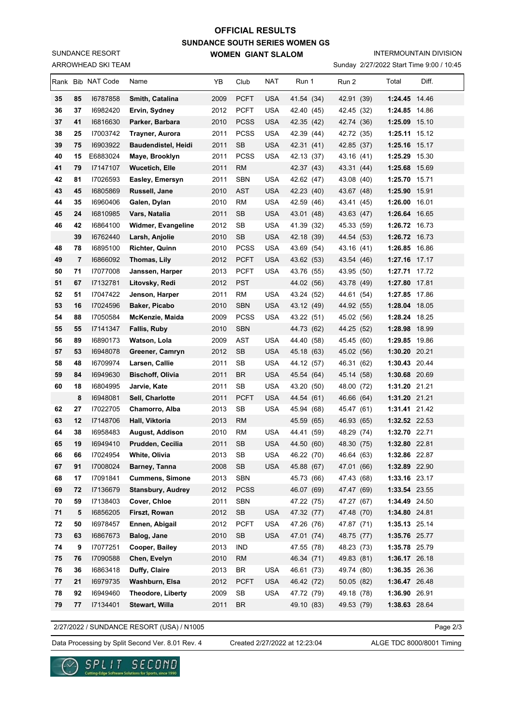# **SUNDANCE SOUTH SERIES WOMEN GS WOMEN GIANT SLALOM OFFICIAL RESULTS**

ARROWHEAD SKI TEAM SUNDANCE RESORT

#### INTERMOUNTAIN DIVISION

Sunday 2/27/2022 Start Time 9:00 / 10:45

|          |                | Rank Bib NAT Code    | Name                             | YB           | Club            | NAT        | Run 1                    | Run 2                    | Total                          | Diff. |
|----------|----------------|----------------------|----------------------------------|--------------|-----------------|------------|--------------------------|--------------------------|--------------------------------|-------|
| 35       | 85             | 16787858             | Smith, Catalina                  | 2009         | <b>PCFT</b>     | <b>USA</b> | 41.54 (34)               | 42.91 (39)               | 1:24.45 14.46                  |       |
| 36       | 37             | 16982420             | Ervin, Sydney                    | 2012         | <b>PCFT</b>     | <b>USA</b> | 42.40 (45)               | 42.45 (32)               | 1:24.85 14.86                  |       |
| 37       | 41             | 16816630             | Parker, Barbara                  | 2010         | <b>PCSS</b>     | <b>USA</b> | 42.35 (42)               | 42.74 (36)               | 1:25.09 15.10                  |       |
| 38       | 25             | 17003742             | Trayner, Aurora                  | 2011         | <b>PCSS</b>     | <b>USA</b> | 42.39 (44)               | 42.72 (35)               | 1:25.11 15.12                  |       |
| 39       | 75             | 16903922             | <b>Baudendistel, Heidi</b>       | 2011         | <b>SB</b>       | <b>USA</b> | 42.31 (41)               | 42.85 (37)               | 1:25.16 15.17                  |       |
| 40       | 15             | E6883024             | Maye, Brooklyn                   | 2011         | <b>PCSS</b>     | <b>USA</b> | 42.13 (37)               | 43.16 (41)               | 1:25.29 15.30                  |       |
| 41       | 79             | 17147107             | <b>Wucetich, Elle</b>            | 2011         | <b>RM</b>       |            | 42.37 (43)               | 43.31 (44)               | 1:25.68                        | 15.69 |
| 42       | 81             | 17026593             | Easley, Emersyn                  | 2011         | <b>SBN</b>      | <b>USA</b> | 42.62 (47)               | 43.08 (40)               | 1:25.70 15.71                  |       |
| 43       | 45             | 16805869             | Russell, Jane                    | 2010         | <b>AST</b>      | <b>USA</b> | 42.23 (40)               | 43.67 (48)               | 1:25.90 15.91                  |       |
| 44       | 35             | 16960406             | Galen, Dylan                     | 2010         | RM              | <b>USA</b> | 42.59 (46)               | 43.41 (45)               | 1:26.00 16.01                  |       |
| 45       | 24             | 16810985             | Vars, Natalia                    | 2011         | <b>SB</b>       | <b>USA</b> | 43.01 (48)               | 43.63 (47)               | 1:26.64 16.65                  |       |
| 46       | 42             | 16864100             | Widmer, Evangeline               | 2012         | SB              | <b>USA</b> | 41.39 (32)               | 45.33 (59)               | 1:26.72 16.73                  |       |
|          | 39             | 16762440             | Larsh, Anjolie                   | 2010         | <b>SB</b>       | <b>USA</b> | 42.18 (39)               | 44.54 (53)               | 1:26.72 16.73                  |       |
| 48       | 78             | 16895100             | <b>Richter, Quinn</b>            | 2010         | <b>PCSS</b>     | <b>USA</b> | 43.69 (54)               | 43.16 (41)               | 1:26.85 16.86                  |       |
| 49       | $\overline{7}$ | 16866092             | Thomas, Lily                     | 2012         | <b>PCFT</b>     | <b>USA</b> | 43.62 (53)               | 43.54 (46)               | 1:27.16 17.17                  |       |
| 50       | 71             | 17077008             | Janssen, Harper                  | 2013         | <b>PCFT</b>     | <b>USA</b> | 43.76 (55)               | 43.95 (50)               | 1:27.71 17.72                  |       |
| 51       | 67             | 17132781             | Litovsky, Redi                   | 2012         | <b>PST</b>      |            | 44.02 (56)               | 43.78 (49)               | 1:27.80 17.81                  |       |
| 52       | 51             | 17047422             | Jenson, Harper                   | 2011         | RM              | USA        | 43.24 (52)               | 44.61 (54)               | 1:27.85 17.86                  |       |
| 53       | 16             | 17024596             | Baker, Picabo                    | 2010         | <b>SBN</b>      | <b>USA</b> | 43.12 (49)               | 44.92 (55)               | 1:28.04 18.05                  |       |
| 54       | 88             | 17050584             | McKenzie, Maida                  | 2009         | <b>PCSS</b>     | <b>USA</b> | 43.22 (51)               | 45.02 (56)               | 1:28.24 18.25                  |       |
| 55       | 55             | 17141347             | Fallis, Ruby                     | 2010         | <b>SBN</b>      |            | 44.73 (62)               | 44.25 (52)               | 1:28.98 18.99                  |       |
| 56       | 89             | 16890173             | Watson, Lola                     | 2009         | AST             | <b>USA</b> | 44.40 (58)               | 45.45 (60)               | 1:29.85 19.86                  |       |
| 57       | 53             | 16948078             | Greener, Camryn                  | 2012         | <b>SB</b>       | <b>USA</b> | 45.18 (63)               | 45.02 (56)               | 1:30.20 20.21                  |       |
| 58       | 48             | 16709974             | Larsen, Callie                   | 2011         | SB              | <b>USA</b> | 44.12 (57)               | 46.31 (62)               | 1:30.43 20.44                  |       |
| 59       | 84             | 16949630             | <b>Bischoff, Olivia</b>          | 2011         | <b>BR</b>       | <b>USA</b> | 45.54 (64)               | 45.14 (58)               | 1:30.68 20.69                  |       |
| 60       | 18             | 16804995             | Jarvie, Kate                     | 2011         | SB              | <b>USA</b> | 43.20 (50)               | 48.00 (72)               | 1:31.20 21.21                  |       |
|          | 8              | 16948081             | Sell, Charlotte                  | 2011         | <b>PCFT</b>     | <b>USA</b> | 44.54 (61)               | 46.66 (64)               | 1:31.20 21.21                  |       |
| 62<br>63 | 27             | 17022705<br>17148706 | Chamorro, Alba<br>Hall, Viktoria | 2013         | SB<br><b>RM</b> | <b>USA</b> | 45.94 (68)               | 45.47 (61)<br>46.93 (65) | 1:31.41 21.42                  |       |
| 64       | 12<br>38       | 16958483             | August, Addison                  | 2013<br>2010 | RM              | <b>USA</b> | 45.59 (65)<br>44.41 (59) | 48.29 (74)               | 1:32.52 22.53<br>1:32.70 22.71 |       |
| 65       | 19             | 16949410             | Prudden, Cecilia                 | 2011         | <b>SB</b>       | <b>USA</b> | 44.50 (60)               | 48.30 (75)               | 1:32.80 22.81                  |       |
| 66       | 66             | 17024954             | White, Olivia                    | 2013         | ${\sf SB}$      | <b>USA</b> | 46.22 (70)               | 46.64 (63)               | 1:32.86 22.87                  |       |
| 67       | 91             | 17008024             | Barney, Tanna                    | 2008         | <b>SB</b>       | <b>USA</b> | 45.88 (67)               | 47.01 (66)               | 1:32.89 22.90                  |       |
| 68       | 17             | 17091841             | <b>Cummens, Simone</b>           | 2013         | <b>SBN</b>      |            | 45.73 (66)               | 47.43 (68)               | 1:33.16 23.17                  |       |
| 69       | 72             | 17136679             | <b>Stansbury, Audrey</b>         | 2012         | <b>PCSS</b>     |            | 46.07 (69)               | 47.47 (69)               | 1:33.54 23.55                  |       |
| 70       | 59             | 17138403             | Cover, Chloe                     | 2011         | SBN             |            | 47.22 (75)               | 47.27 (67)               | 1:34.49 24.50                  |       |
| 71       | 5              | 16856205             | Firszt, Rowan                    | 2012         | SB              | <b>USA</b> | 47.32 (77)               | 47.48 (70)               | 1:34.80 24.81                  |       |
| 72       | 50             | 16978457             | Ennen, Abigail                   | 2012         | <b>PCFT</b>     | <b>USA</b> | 47.26 (76)               | 47.87 (71)               | 1:35.13 25.14                  |       |
| 73       | 63             | 16867673             | Balog, Jane                      | 2010         | <b>SB</b>       | <b>USA</b> | 47.01 (74)               | 48.75 (77)               | 1:35.76 25.77                  |       |
| 74       | 9              | 17077251             | Cooper, Bailey                   | 2013         | <b>IND</b>      |            | 47.55 (78)               | 48.23 (73)               | 1:35.78 25.79                  |       |
| 75       | 76             | 17090588             | Chen, Evelyn                     | 2010         | <b>RM</b>       |            | 46.34 (71)               | 49.83 (81)               | 1:36.17 26.18                  |       |
| 76       | 36             | 16863418             | Duffy, Claire                    | 2013         | <b>BR</b>       | <b>USA</b> | 46.61 (73)               | 49.74 (80)               | 1:36.35 26.36                  |       |
| 77       | 21             | 16979735             | Washburn, Elsa                   | 2012         | <b>PCFT</b>     | <b>USA</b> | 46.42 (72)               | 50.05 (82)               | 1:36.47 26.48                  |       |
| 78       | 92             | 16949460             | Theodore, Liberty                | 2009         | SB              | <b>USA</b> | 47.72 (79)               | 49.18 (78)               | 1:36.90 26.91                  |       |
| 79       | 77             | 17134401             | Stewart, Willa                   | 2011         | <b>BR</b>       |            | 49.10 (83)               | 49.53 (79)               | 1:38.63 28.64                  |       |

2/27/2022 / SUNDANCE RESORT (USA) / N1005

Page 2/3

Data Processing by Split Second Ver. 8.01 Rev. 4 Created 2/27/2022 at 12:23:04 ALGE TDC 8000/8001 Timing

Created 2/27/2022 at 12:23:04